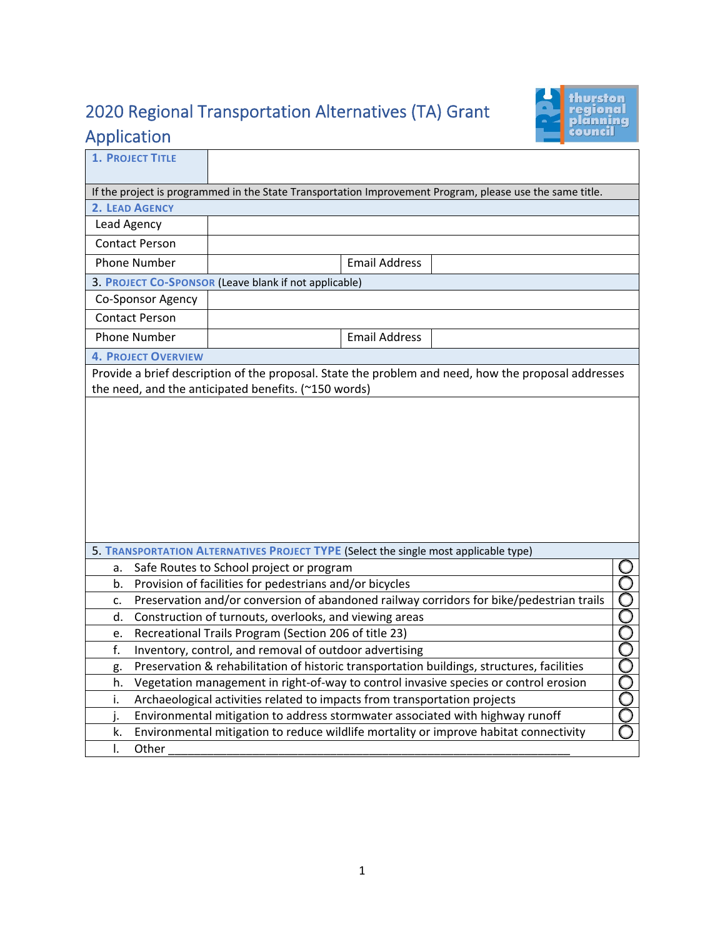## 2020 Regional Transportation Alternatives (TA) Grant Application



| <b>1. PROJECT TITLE</b>                                                                                  |                                                                                                     |  |  |  |  |
|----------------------------------------------------------------------------------------------------------|-----------------------------------------------------------------------------------------------------|--|--|--|--|
| If the project is programmed in the State Transportation Improvement Program, please use the same title. |                                                                                                     |  |  |  |  |
| 2. LEAD AGENCY                                                                                           |                                                                                                     |  |  |  |  |
| Lead Agency                                                                                              |                                                                                                     |  |  |  |  |
| <b>Contact Person</b>                                                                                    |                                                                                                     |  |  |  |  |
| <b>Phone Number</b>                                                                                      | <b>Email Address</b>                                                                                |  |  |  |  |
| 3. PROJECT CO-SPONSOR (Leave blank if not applicable)                                                    |                                                                                                     |  |  |  |  |
| Co-Sponsor Agency                                                                                        |                                                                                                     |  |  |  |  |
| <b>Contact Person</b>                                                                                    |                                                                                                     |  |  |  |  |
| <b>Phone Number</b>                                                                                      | <b>Email Address</b>                                                                                |  |  |  |  |
| <b>4. PROJECT OVERVIEW</b>                                                                               |                                                                                                     |  |  |  |  |
|                                                                                                          | Provide a brief description of the proposal. State the problem and need, how the proposal addresses |  |  |  |  |
|                                                                                                          | the need, and the anticipated benefits. (~150 words)                                                |  |  |  |  |
|                                                                                                          |                                                                                                     |  |  |  |  |
|                                                                                                          |                                                                                                     |  |  |  |  |
|                                                                                                          |                                                                                                     |  |  |  |  |
|                                                                                                          |                                                                                                     |  |  |  |  |
|                                                                                                          |                                                                                                     |  |  |  |  |
|                                                                                                          |                                                                                                     |  |  |  |  |
|                                                                                                          |                                                                                                     |  |  |  |  |
|                                                                                                          |                                                                                                     |  |  |  |  |
|                                                                                                          |                                                                                                     |  |  |  |  |
| 5. TRANSPORTATION ALTERNATIVES PROJECT TYPE (Select the single most applicable type)                     |                                                                                                     |  |  |  |  |
| a.                                                                                                       | Safe Routes to School project or program                                                            |  |  |  |  |
| b.                                                                                                       | Provision of facilities for pedestrians and/or bicycles                                             |  |  |  |  |
| Preservation and/or conversion of abandoned railway corridors for bike/pedestrian trails<br>c.           |                                                                                                     |  |  |  |  |
| <b>POOOOOOOOO</b><br>Construction of turnouts, overlooks, and viewing areas<br>d.                        |                                                                                                     |  |  |  |  |
| Recreational Trails Program (Section 206 of title 23)<br>e.                                              |                                                                                                     |  |  |  |  |
| f.<br>Inventory, control, and removal of outdoor advertising                                             |                                                                                                     |  |  |  |  |
| Preservation & rehabilitation of historic transportation buildings, structures, facilities<br>g.         |                                                                                                     |  |  |  |  |
| h.                                                                                                       | Vegetation management in right-of-way to control invasive species or control erosion                |  |  |  |  |
| i.                                                                                                       | Archaeological activities related to impacts from transportation projects                           |  |  |  |  |
| i.                                                                                                       | Environmental mitigation to address stormwater associated with highway runoff                       |  |  |  |  |
| k.                                                                                                       | Environmental mitigation to reduce wildlife mortality or improve habitat connectivity               |  |  |  |  |
| $\mathsf{I}$ .<br>Other                                                                                  |                                                                                                     |  |  |  |  |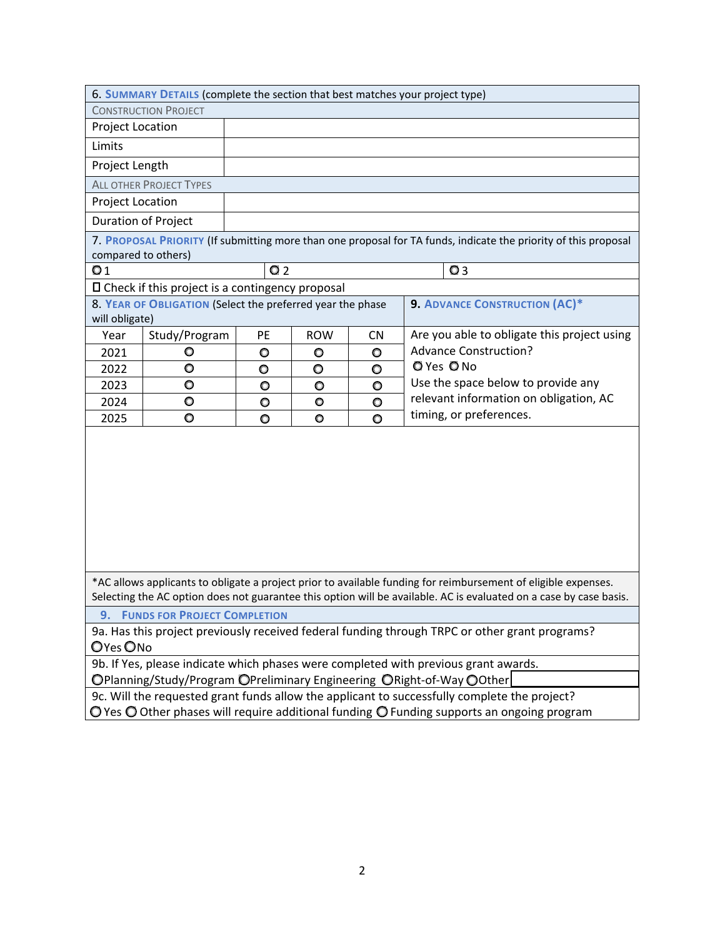| 6. SUMMARY DETAILS (complete the section that best matches your project type)                                                                                                                                                        |                                                            |                |            |           |                                                                                                                 |
|--------------------------------------------------------------------------------------------------------------------------------------------------------------------------------------------------------------------------------------|------------------------------------------------------------|----------------|------------|-----------|-----------------------------------------------------------------------------------------------------------------|
| <b>CONSTRUCTION PROJECT</b>                                                                                                                                                                                                          |                                                            |                |            |           |                                                                                                                 |
| Project Location                                                                                                                                                                                                                     |                                                            |                |            |           |                                                                                                                 |
| Limits                                                                                                                                                                                                                               |                                                            |                |            |           |                                                                                                                 |
| Project Length                                                                                                                                                                                                                       |                                                            |                |            |           |                                                                                                                 |
| <b>ALL OTHER PROJECT TYPES</b>                                                                                                                                                                                                       |                                                            |                |            |           |                                                                                                                 |
| Project Location                                                                                                                                                                                                                     |                                                            |                |            |           |                                                                                                                 |
| Duration of Project                                                                                                                                                                                                                  |                                                            |                |            |           |                                                                                                                 |
|                                                                                                                                                                                                                                      |                                                            |                |            |           | 7. PROPOSAL PRIORITY (If submitting more than one proposal for TA funds, indicate the priority of this proposal |
| compared to others)                                                                                                                                                                                                                  |                                                            |                |            |           |                                                                                                                 |
| Q <sub>1</sub>                                                                                                                                                                                                                       |                                                            | Q <sub>2</sub> |            |           | Q <sub>3</sub>                                                                                                  |
|                                                                                                                                                                                                                                      | $\square$ Check if this project is a contingency proposal  |                |            |           |                                                                                                                 |
|                                                                                                                                                                                                                                      | 8. YEAR OF OBLIGATION (Select the preferred year the phase |                |            |           | <b>9. ADVANCE CONSTRUCTION (AC)*</b>                                                                            |
| will obligate)                                                                                                                                                                                                                       |                                                            |                |            |           |                                                                                                                 |
| Year                                                                                                                                                                                                                                 | Study/Program                                              | PE             | <b>ROW</b> | <b>CN</b> | Are you able to obligate this project using                                                                     |
| 2021                                                                                                                                                                                                                                 | O                                                          | $\circ$        | O          | $\circ$   | <b>Advance Construction?</b>                                                                                    |
| 2022                                                                                                                                                                                                                                 | O                                                          | O              | O          | O         | $Q$ Yes $Q$ No                                                                                                  |
| 2023                                                                                                                                                                                                                                 | $\bullet$                                                  | $\circ$        | $\circ$    | $\circ$   | Use the space below to provide any<br>relevant information on obligation, AC                                    |
| 2024                                                                                                                                                                                                                                 | O                                                          | $\circ$        | $\circ$    | $\circ$   | timing, or preferences.                                                                                         |
| 2025                                                                                                                                                                                                                                 | O                                                          | $\circ$        | $\circ$    | $\circ$   |                                                                                                                 |
|                                                                                                                                                                                                                                      |                                                            |                |            |           |                                                                                                                 |
| *AC allows applicants to obligate a project prior to available funding for reimbursement of eligible expenses.<br>Selecting the AC option does not guarantee this option will be available. AC is evaluated on a case by case basis. |                                                            |                |            |           |                                                                                                                 |
| <b>9. FUNDS FOR PROJECT COMPLETION</b>                                                                                                                                                                                               |                                                            |                |            |           |                                                                                                                 |
| 9a. Has this project previously received federal funding through TRPC or other grant programs?<br>OYes ONo                                                                                                                           |                                                            |                |            |           |                                                                                                                 |
| 9b. If Yes, please indicate which phases were completed with previous grant awards.                                                                                                                                                  |                                                            |                |            |           |                                                                                                                 |
| ○Planning/Study/Program ○Preliminary Engineering ○Right-of-Way ○Other                                                                                                                                                                |                                                            |                |            |           |                                                                                                                 |
| 9c. Will the requested grant funds allow the applicant to successfully complete the project?                                                                                                                                         |                                                            |                |            |           |                                                                                                                 |
| $\bigcirc$ Yes $\bigcirc$ Other phases will require additional funding $\bigcirc$ Funding supports an ongoing program                                                                                                                |                                                            |                |            |           |                                                                                                                 |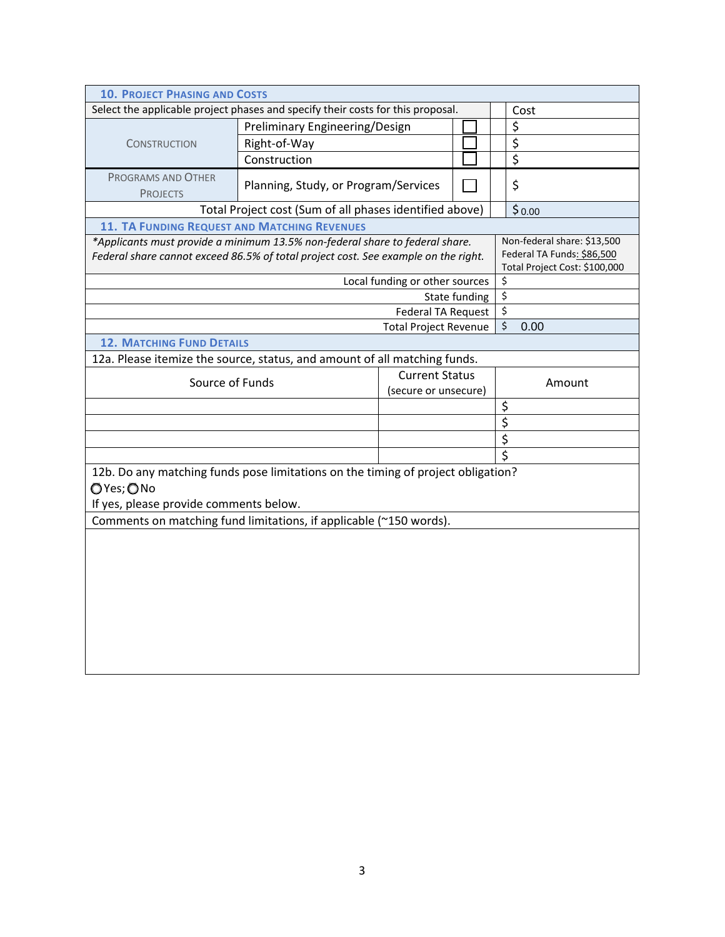| <b>10. PROJECT PHASING AND COSTS</b>                                                                                                                               |                                                                                            |                                                           |               |                         |  |
|--------------------------------------------------------------------------------------------------------------------------------------------------------------------|--------------------------------------------------------------------------------------------|-----------------------------------------------------------|---------------|-------------------------|--|
| Select the applicable project phases and specify their costs for this proposal.                                                                                    | Cost                                                                                       |                                                           |               |                         |  |
|                                                                                                                                                                    | Preliminary Engineering/Design                                                             |                                                           |               | \$                      |  |
| <b>CONSTRUCTION</b>                                                                                                                                                | Right-of-Way                                                                               |                                                           |               | $\overline{\xi}$        |  |
|                                                                                                                                                                    | Construction                                                                               |                                                           |               | $\overline{\xi}$        |  |
| PROGRAMS AND OTHER<br><b>PROJECTS</b>                                                                                                                              | Planning, Study, or Program/Services                                                       |                                                           |               | \$                      |  |
| Total Project cost (Sum of all phases identified above)                                                                                                            |                                                                                            | \$0.00                                                    |               |                         |  |
| <b>11. TA FUNDING REQUEST AND MATCHING REVENUES</b>                                                                                                                |                                                                                            |                                                           |               |                         |  |
| *Applicants must provide a minimum 13.5% non-federal share to federal share.<br>Federal share cannot exceed 86.5% of total project cost. See example on the right. | Non-federal share: \$13,500<br>Federal TA Funds: \$86,500<br>Total Project Cost: \$100,000 |                                                           |               |                         |  |
|                                                                                                                                                                    |                                                                                            | Local funding or other sources                            |               | $\overline{\xi}$        |  |
|                                                                                                                                                                    |                                                                                            |                                                           | State funding | \$                      |  |
|                                                                                                                                                                    |                                                                                            | <b>Federal TA Request</b><br><b>Total Project Revenue</b> |               | $\zeta$                 |  |
|                                                                                                                                                                    |                                                                                            | $\ddot{\varsigma}$<br>0.00                                |               |                         |  |
| <b>12. MATCHING FUND DETAILS</b>                                                                                                                                   |                                                                                            |                                                           |               |                         |  |
| 12a. Please itemize the source, status, and amount of all matching funds.                                                                                          |                                                                                            |                                                           |               |                         |  |
| Source of Funds                                                                                                                                                    |                                                                                            | <b>Current Status</b><br>(secure or unsecure)             |               | Amount                  |  |
|                                                                                                                                                                    |                                                                                            |                                                           |               | \$                      |  |
|                                                                                                                                                                    | $\overline{\boldsymbol{\zeta}}$                                                            |                                                           |               |                         |  |
|                                                                                                                                                                    |                                                                                            |                                                           |               | $\overline{\xi}$        |  |
|                                                                                                                                                                    |                                                                                            |                                                           |               | $\overline{\mathsf{S}}$ |  |
| 12b. Do any matching funds pose limitations on the timing of project obligation?                                                                                   |                                                                                            |                                                           |               |                         |  |
| OYes; ONo                                                                                                                                                          |                                                                                            |                                                           |               |                         |  |
| If yes, please provide comments below.                                                                                                                             |                                                                                            |                                                           |               |                         |  |
| Comments on matching fund limitations, if applicable (~150 words).                                                                                                 |                                                                                            |                                                           |               |                         |  |
|                                                                                                                                                                    |                                                                                            |                                                           |               |                         |  |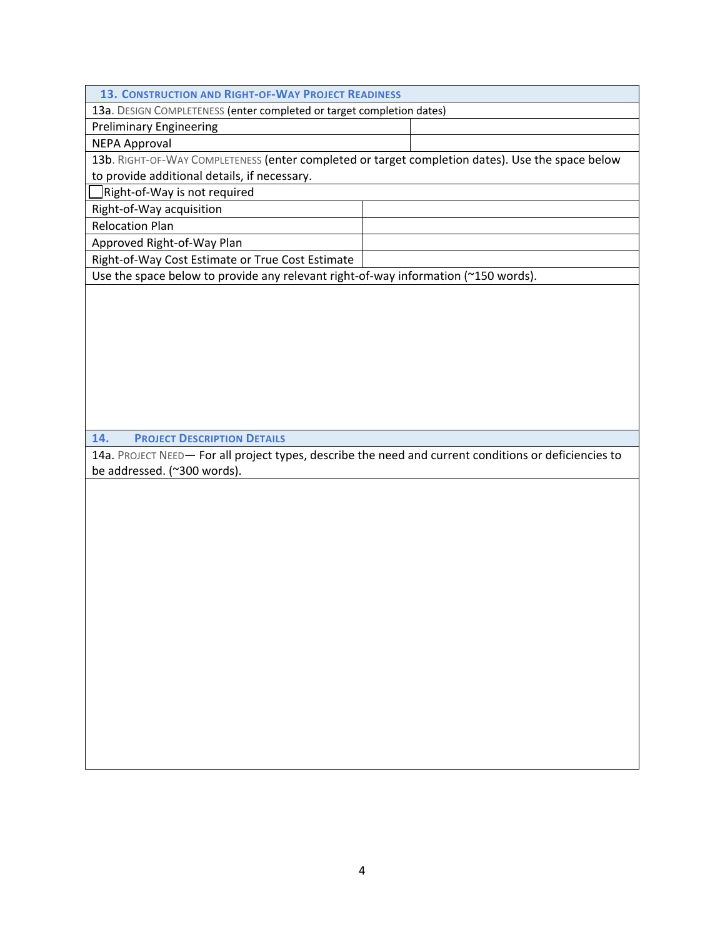**13. CONSTRUCTION AND RIGHT‐OF‐WAY PROJECT READINESS**

13a. DESIGN COMPLETENESS (enter completed or target completion dates)

Preliminary Engineering

NEPA Approval

13b. RIGHT-OF-WAY COMPLETENESS (enter completed or target completion dates). Use the space below

to provide additional details, if necessary.

■Right-of-Way is not required

Right‐of‐Way acquisition

Relocation Plan

Approved Right‐of‐Way Plan

Right‐of‐Way Cost Estimate or True Cost Estimate

Use the space below to provide any relevant right-of-way information (~150 words).

**14. PROJECT DESCRIPTION DETAILS**

14a. PROJECT NEED— For all project types, describe the need and current conditions or deficiencies to be addressed. (~300 words).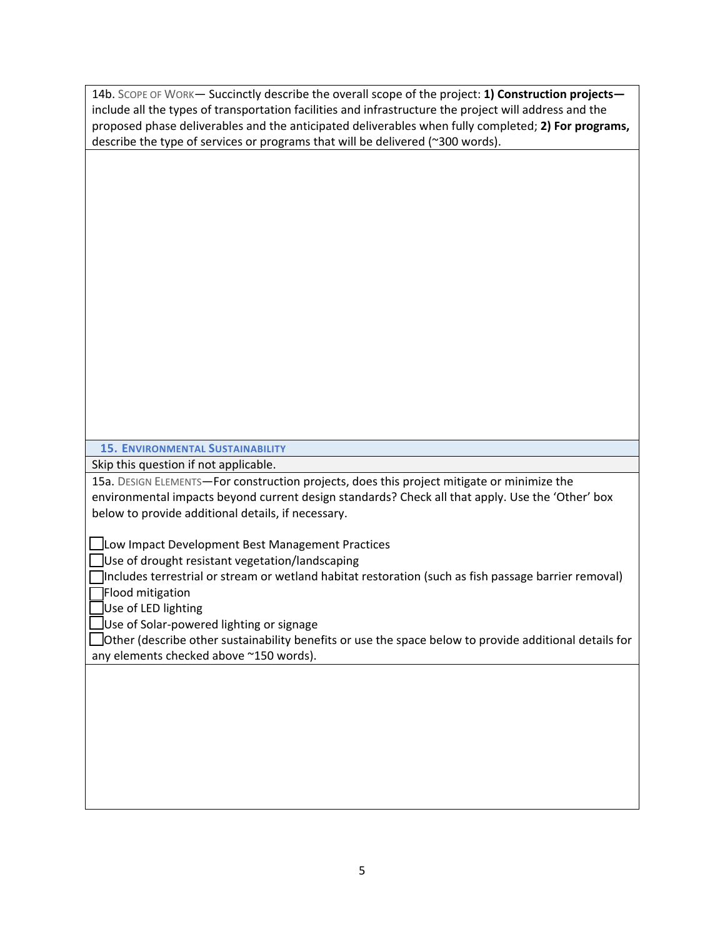| 14b. SCOPE OF WORK- Succinctly describe the overall scope of the project: 1) Construction projects-    |
|--------------------------------------------------------------------------------------------------------|
| include all the types of transportation facilities and infrastructure the project will address and the |
| proposed phase deliverables and the anticipated deliverables when fully completed; 2) For programs,    |
| describe the type of services or programs that will be delivered (~300 words).                         |
|                                                                                                        |
|                                                                                                        |
|                                                                                                        |
|                                                                                                        |
|                                                                                                        |
|                                                                                                        |
|                                                                                                        |
|                                                                                                        |
|                                                                                                        |
|                                                                                                        |
|                                                                                                        |
|                                                                                                        |
|                                                                                                        |
|                                                                                                        |
|                                                                                                        |
|                                                                                                        |
|                                                                                                        |
|                                                                                                        |
| <b>15. ENVIRONMENTAL SUSTAINABILITY</b>                                                                |
|                                                                                                        |
|                                                                                                        |
| Skip this question if not applicable.                                                                  |
| 15a. DESIGN ELEMENTS-For construction projects, does this project mitigate or minimize the             |
| environmental impacts beyond current design standards? Check all that apply. Use the 'Other' box       |
| below to provide additional details, if necessary.                                                     |
|                                                                                                        |
| Low Impact Development Best Management Practices                                                       |
| Use of drought resistant vegetation/landscaping                                                        |
| Includes terrestrial or stream or wetland habitat restoration (such as fish passage barrier removal)   |
| Flood mitigation                                                                                       |
| Use of LED lighting                                                                                    |
| Use of Solar-powered lighting or signage                                                               |
| Other (describe other sustainability benefits or use the space below to provide additional details for |
| any elements checked above ~150 words).                                                                |
|                                                                                                        |
|                                                                                                        |
|                                                                                                        |
|                                                                                                        |
|                                                                                                        |
|                                                                                                        |
|                                                                                                        |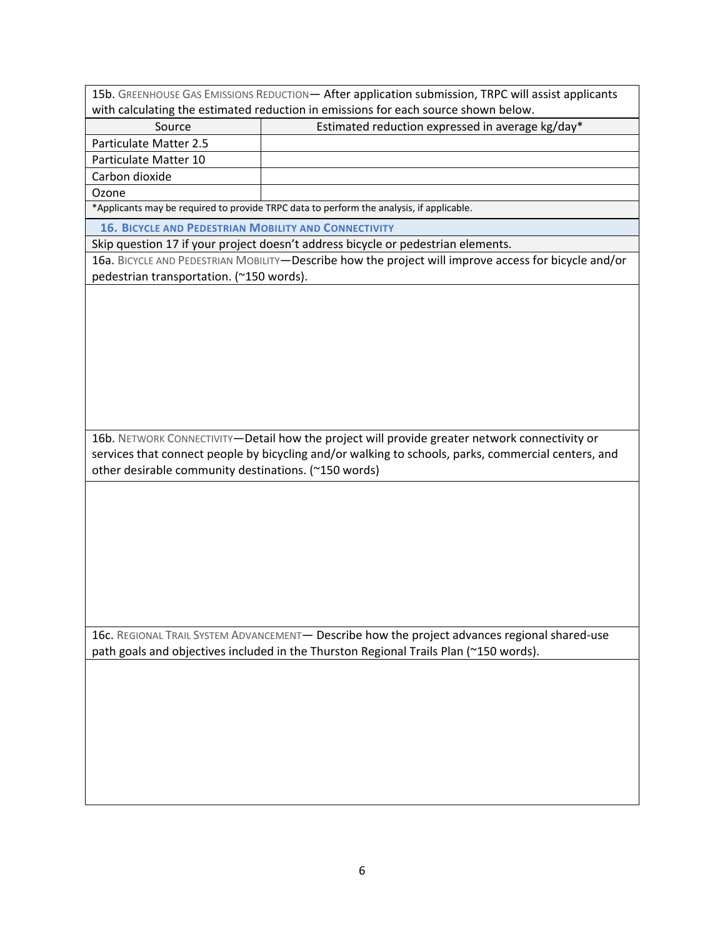15b. GREENHOUSE GAS EMISSIONS REDUCTION— After application submission, TRPC will assist applicants with calculating the estimated reduction in emissions for each source shown below.

| Source                                                                                   | Estimated reduction expressed in average kg/day* |  |  |
|------------------------------------------------------------------------------------------|--------------------------------------------------|--|--|
| <b>Particulate Matter 2.5</b>                                                            |                                                  |  |  |
| Particulate Matter 10                                                                    |                                                  |  |  |
| Carbon dioxide                                                                           |                                                  |  |  |
| Ozone                                                                                    |                                                  |  |  |
| *Applicants may be required to provide TRPC data to perform the analysis, if applicable. |                                                  |  |  |

**16. BICYCLE AND PEDESTRIAN MOBILITY AND CONNECTIVITY**

Skip question 17 if your project doesn't address bicycle or pedestrian elements.

16a. BICYCLE AND PEDESTRIAN MOBILITY—Describe how the project will improve access for bicycle and/or pedestrian transportation. (~150 words).

16b. NETWORK CONNECTIVITY—Detail how the project will provide greater network connectivity or services that connect people by bicycling and/or walking to schools, parks, commercial centers, and other desirable community destinations. (~150 words)

16c. REGIONAL TRAIL SYSTEM ADVANCEMENT— Describe how the project advances regional shared-use path goals and objectives included in the Thurston Regional Trails Plan (~150 words).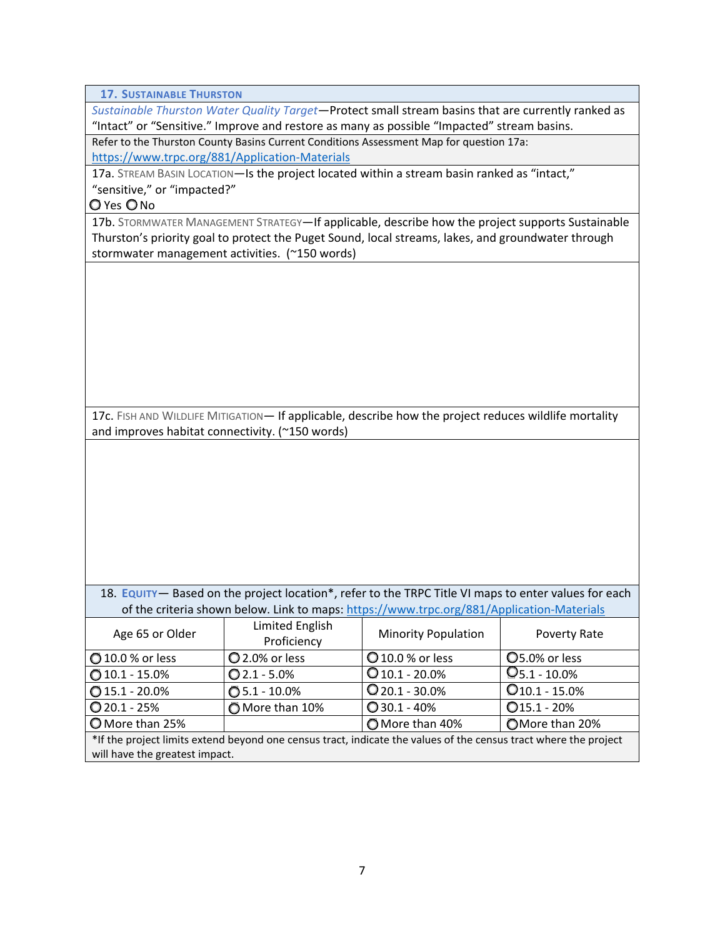**17. SUSTAINABLE THURSTON**

*Sustainable Thurston Water Quality Target*—Protect small stream basins that are currently ranked as "Intact" or "Sensitive." Improve and restore as many as possible "Impacted" stream basins.

Refer to the Thurston County Basins Current Conditions Assessment Map for question 17a: https://www.trpc.org/881/Application‐Materials

17a. STREAM BASIN LOCATION-Is the project located within a stream basin ranked as "intact," "sensitive," or "impacted?"

Q Yes ONo

17b. STORMWATER MANAGEMENT STRATEGY—If applicable, describe how the project supports Sustainable Thurston's priority goal to protect the Puget Sound, local streams, lakes, and groundwater through stormwater management activities. (~150 words)

17c. FISH AND WILDLIFE MITIGATION— If applicable, describe how the project reduces wildlife mortality and improves habitat connectivity. (~150 words)

18. **EQUITY**— Based on the project location\*, refer to the TRPC Title VI maps to enter values for each of the criteria shown below. Link to maps: https://www.trpc.org/881/Application‐Materials

| Age 65 or Older                                                                                                  | Limited English<br>Proficiency | <b>Minority Population</b> | Poverty Rate       |  |
|------------------------------------------------------------------------------------------------------------------|--------------------------------|----------------------------|--------------------|--|
| 10.0 % or less                                                                                                   | 2.0% or less                   | <b>Q</b> 10.0 % or less    | O5.0% or less      |  |
| $0$ 10.1 - 15.0%                                                                                                 | $Q$ 2.1 - 5.0%                 | $Q$ 10.1 - 20.0%           | $Q_{5.1 - 10.0\%}$ |  |
| $0$ 15.1 - 20.0%                                                                                                 | $① 5.1 - 10.0%$                | $Q$ 20.1 - 30.0%           | $Q$ 10.1 - 15.0%   |  |
| $Q$ 20.1 - 25%                                                                                                   | More than 10%                  | $Q$ 30.1 - 40%             | $Q$ 15.1 - 20%     |  |
| O More than 25%                                                                                                  |                                | O More than 40%            | OMore than 20%     |  |
| *If the project limits extend beyond one census tract, indicate the values of the census tract where the project |                                |                            |                    |  |
| will have the greatest impact.                                                                                   |                                |                            |                    |  |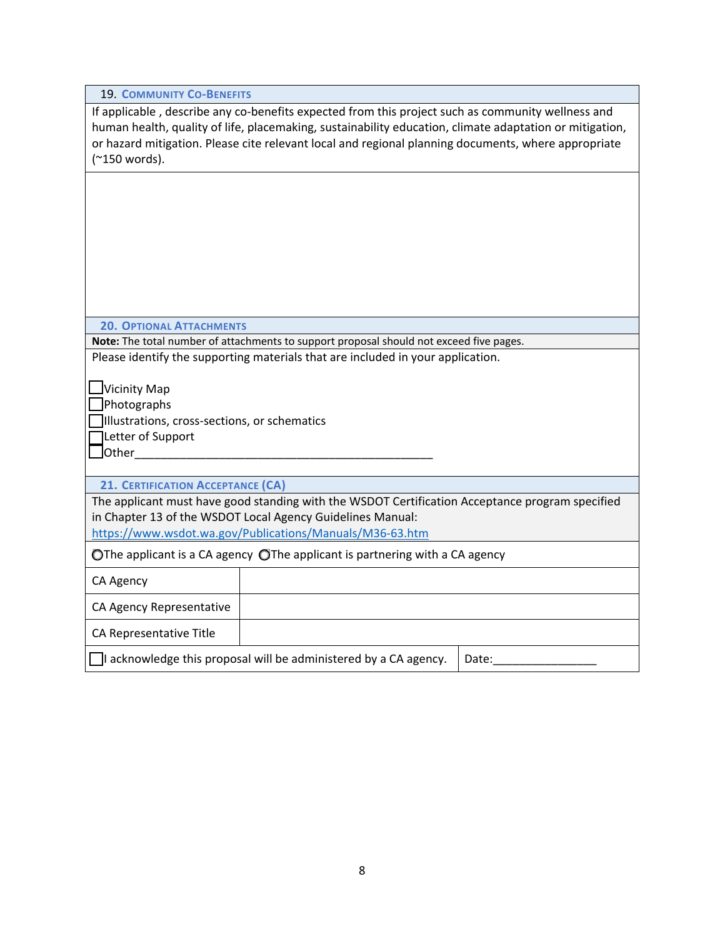If applicable, describe any co-benefits expected from this project such as community wellness and human health, quality of life, placemaking, sustainability education, climate adaptation or mitigation, or hazard mitigation. Please cite relevant local and regional planning documents, where appropriate (~150 words).

**20. OPTIONAL ATTACHMENTS**

**Note:** The total number of attachments to support proposal should not exceed five pages. Please identify the supporting materials that are included in your application.

Vicinity Map

**Photographs** 

Illustrations, cross‐sections, or schematics

Letter of Support

 $\Box$ Other $\_$ 

**21. CERTIFICATION ACCEPTANCE (CA)**

The applicant must have good standing with the WSDOT Certification Acceptance program specified in Chapter 13 of the WSDOT Local Agency Guidelines Manual:

https://www.wsdot.wa.gov/Publications/Manuals/M36‐63.htm

O The applicant is a CA agency O The applicant is partnering with a CA agency

CA Agency

CA Agency Representative

CA Representative Title

 $\Box$ I acknowledge this proposal will be administered by a CA agency.  $\Box$  Date: